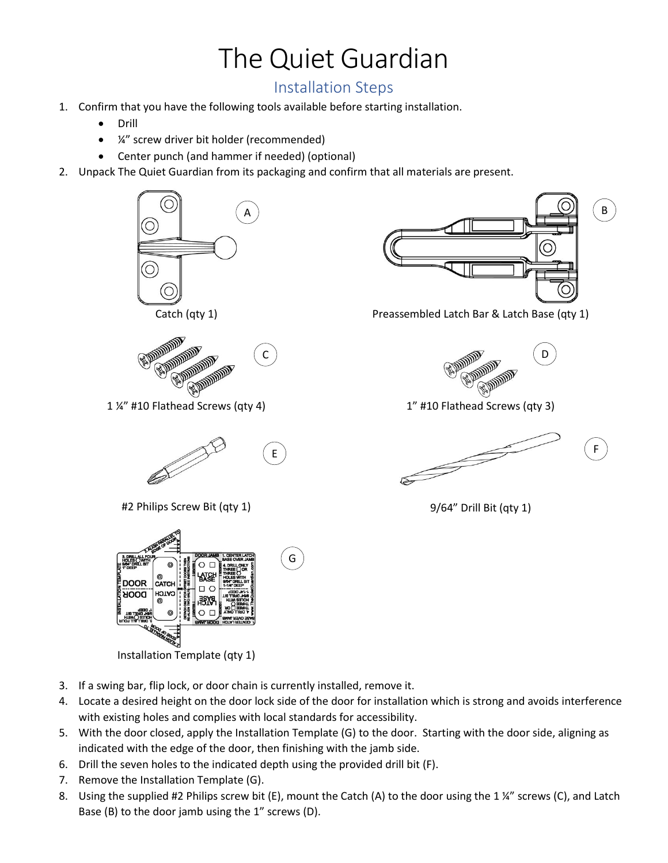## The Quiet Guardian

## Installation Steps

- 1. Confirm that you have the following tools available before starting installation.
	- Drill
	- ¼" screw driver bit holder (recommended)
	- Center punch (and hammer if needed) (optional)
- 2. Unpack The Quiet Guardian from its packaging and confirm that all materials are present.





1 ¼" #10 Flathead Screws (qty 4) 1" #10 Flathead Screws (qty 3)



#2 Philips Screw Bit (qty 1) 9/64" Drill Bit (qty 1)





Catch (qty 1) Preassembled Latch Bar & Latch Base (qty 1)





- 3. If a swing bar, flip lock, or door chain is currently installed, remove it.
- 4. Locate a desired height on the door lock side of the door for installation which is strong and avoids interference with existing holes and complies with local standards for accessibility.
- 5. With the door closed, apply the Installation Template (G) to the door. Starting with the door side, aligning as indicated with the edge of the door, then finishing with the jamb side.
- 6. Drill the seven holes to the indicated depth using the provided drill bit (F).
- 7. Remove the Installation Template (G).
- 8. Using the supplied #2 Philips screw bit (E), mount the Catch (A) to the door using the 1 ¼" screws (C), and Latch Base (B) to the door jamb using the 1" screws (D).